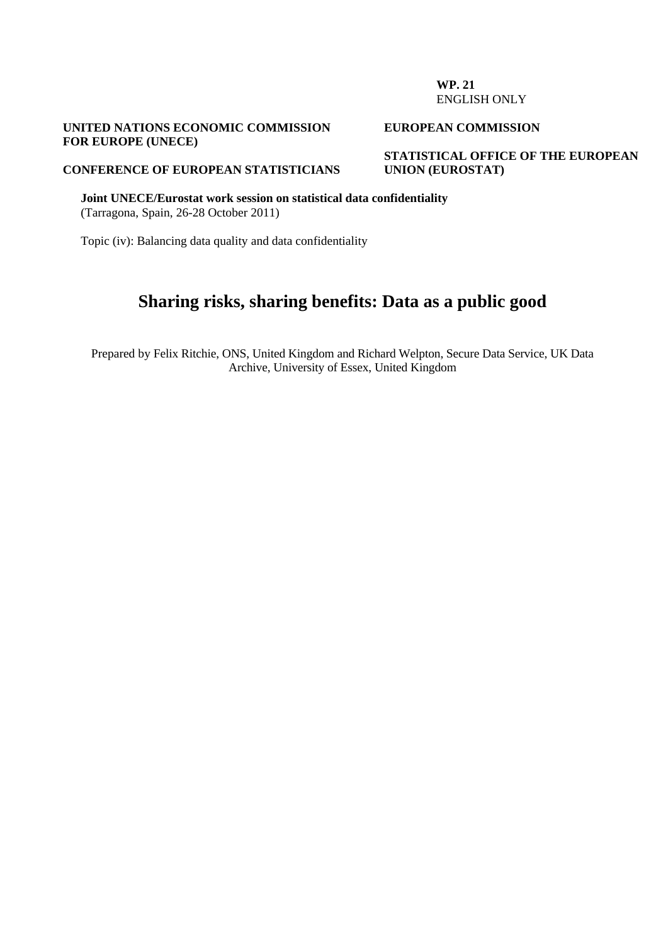#### **WP. 21**  ENGLISH ONLY

### **UNITED NATIONS ECONOMIC COMMISSION FOR EUROPE (UNECE)**

#### **EUROPEAN COMMISSION**

**STATISTICAL OFFICE OF THE EUROPEAN UNION (EUROSTAT)** 

## **CONFERENCE OF EUROPEAN STATISTICIANS**

**Joint UNECE/Eurostat work session on statistical data confidentiality**  (Tarragona, Spain, 26-28 October 2011)

Topic (iv): Balancing data quality and data confidentiality

# **Sharing risks, sharing benefits: Data as a public good**

Prepared by Felix Ritchie, ONS, United Kingdom and Richard Welpton, Secure Data Service, UK Data Archive, University of Essex, United Kingdom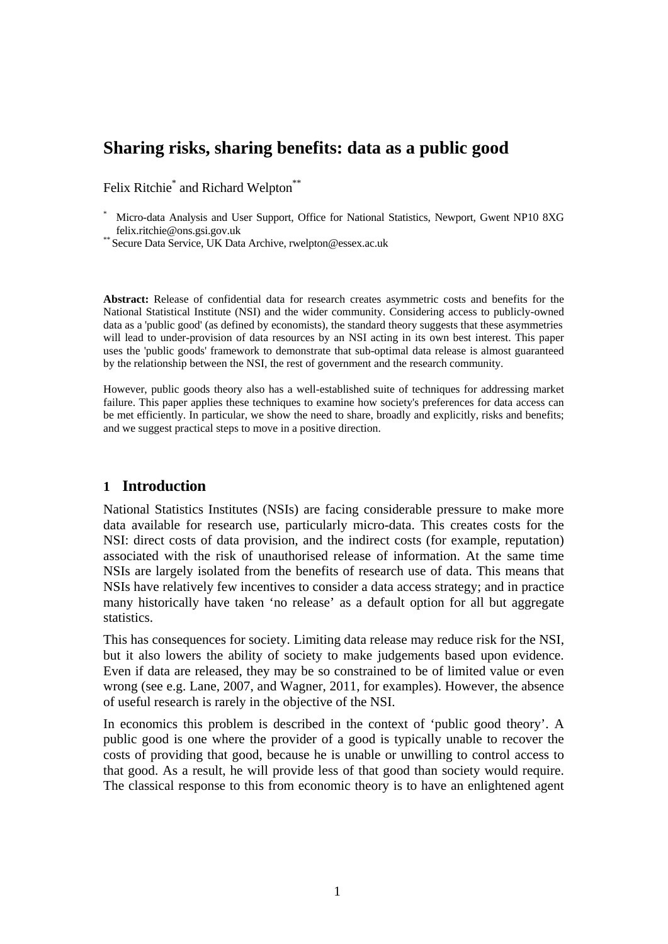# **Sharing risks, sharing benefits: data as a public good**

Felix Ritchie<sup>\*</sup> and Richard Welpton<sup>\*\*</sup>

\* Micro-data Analysis and User Support, Office for National Statistics, Newport, Gwent NP10 8XG felix.ritchie@ons.gsi.gov.uk \*\* Secure Data Service, UK Data Archive, rwelpton@essex.ac.uk

**Abstract:** Release of confidential data for research creates asymmetric costs and benefits for the National Statistical Institute (NSI) and the wider community. Considering access to publicly-owned data as a 'public good' (as defined by economists), the standard theory suggests that these asymmetries will lead to under-provision of data resources by an NSI acting in its own best interest. This paper uses the 'public goods' framework to demonstrate that sub-optimal data release is almost guaranteed by the relationship between the NSI, the rest of government and the research community.

However, public goods theory also has a well-established suite of techniques for addressing market failure. This paper applies these techniques to examine how society's preferences for data access can be met efficiently. In particular, we show the need to share, broadly and explicitly, risks and benefits; and we suggest practical steps to move in a positive direction.

### **1 Introduction**

National Statistics Institutes (NSIs) are facing considerable pressure to make more data available for research use, particularly micro-data. This creates costs for the NSI: direct costs of data provision, and the indirect costs (for example, reputation) associated with the risk of unauthorised release of information. At the same time NSIs are largely isolated from the benefits of research use of data. This means that NSIs have relatively few incentives to consider a data access strategy; and in practice many historically have taken 'no release' as a default option for all but aggregate statistics.

This has consequences for society. Limiting data release may reduce risk for the NSI, but it also lowers the ability of society to make judgements based upon evidence. Even if data are released, they may be so constrained to be of limited value or even wrong (see e.g. Lane, 2007, and Wagner, 2011, for examples). However, the absence of useful research is rarely in the objective of the NSI.

In economics this problem is described in the context of 'public good theory'. A public good is one where the provider of a good is typically unable to recover the costs of providing that good, because he is unable or unwilling to control access to that good. As a result, he will provide less of that good than society would require. The classical response to this from economic theory is to have an enlightened agent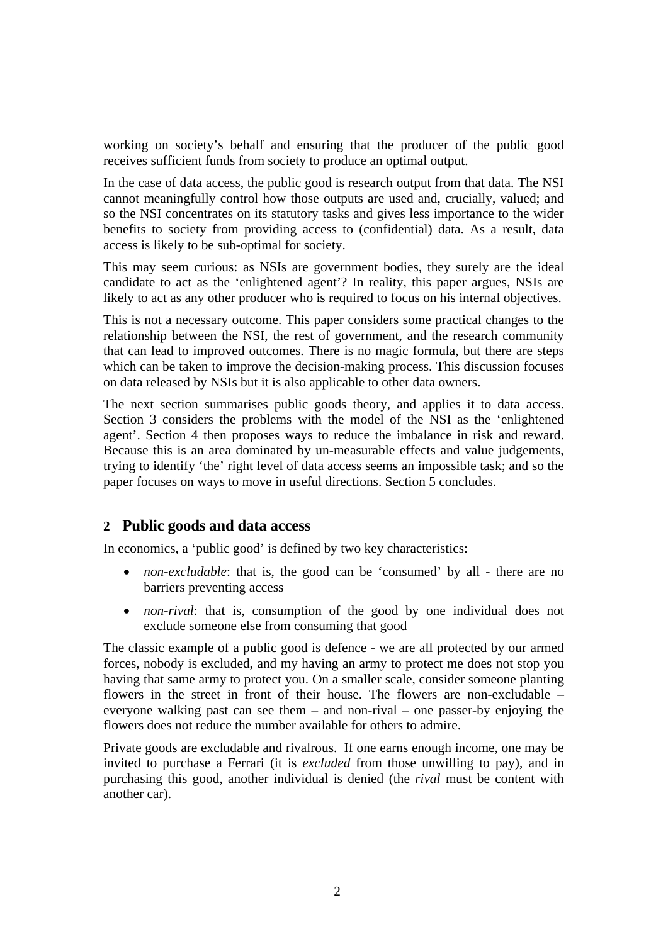working on society's behalf and ensuring that the producer of the public good receives sufficient funds from society to produce an optimal output.

In the case of data access, the public good is research output from that data. The NSI cannot meaningfully control how those outputs are used and, crucially, valued; and so the NSI concentrates on its statutory tasks and gives less importance to the wider benefits to society from providing access to (confidential) data. As a result, data access is likely to be sub-optimal for society.

This may seem curious: as NSIs are government bodies, they surely are the ideal candidate to act as the 'enlightened agent'? In reality, this paper argues, NSIs are likely to act as any other producer who is required to focus on his internal objectives.

This is not a necessary outcome. This paper considers some practical changes to the relationship between the NSI, the rest of government, and the research community that can lead to improved outcomes. There is no magic formula, but there are steps which can be taken to improve the decision-making process. This discussion focuses on data released by NSIs but it is also applicable to other data owners.

The next section summarises public goods theory, and applies it to data access. Section 3 considers the problems with the model of the NSI as the 'enlightened agent'. Section 4 then proposes ways to reduce the imbalance in risk and reward. Because this is an area dominated by un-measurable effects and value judgements, trying to identify 'the' right level of data access seems an impossible task; and so the paper focuses on ways to move in useful directions. Section 5 concludes.

# **2 Public goods and data access**

In economics, a 'public good' is defined by two key characteristics:

- *non-excludable*: that is, the good can be 'consumed' by all there are no barriers preventing access
- *non-rival*: that is, consumption of the good by one individual does not exclude someone else from consuming that good

The classic example of a public good is defence - we are all protected by our armed forces, nobody is excluded, and my having an army to protect me does not stop you having that same army to protect you. On a smaller scale, consider someone planting flowers in the street in front of their house. The flowers are non-excludable – everyone walking past can see them – and non-rival – one passer-by enjoying the flowers does not reduce the number available for others to admire.

Private goods are excludable and rivalrous. If one earns enough income, one may be invited to purchase a Ferrari (it is *excluded* from those unwilling to pay), and in purchasing this good, another individual is denied (the *rival* must be content with another car).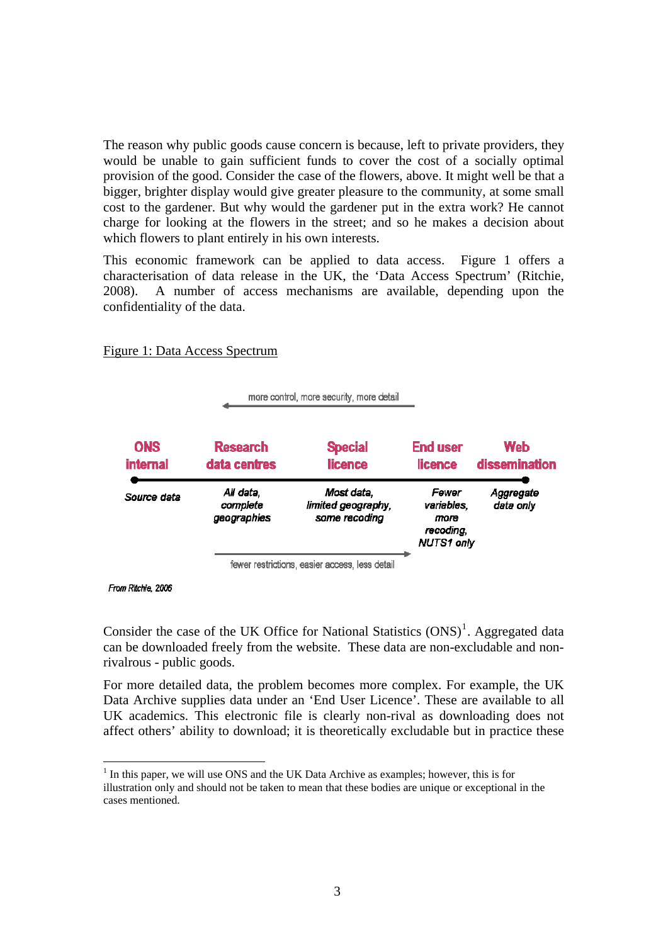The reason why public goods cause concern is because, left to private providers, they would be unable to gain sufficient funds to cover the cost of a socially optimal provision of the good. Consider the case of the flowers, above. It might well be that a bigger, brighter display would give greater pleasure to the community, at some small cost to the gardener. But why would the gardener put in the extra work? He cannot charge for looking at the flowers in the street; and so he makes a decision about which flowers to plant entirely in his own interests.

This economic framework can be applied to data access. Figure 1 offers a characterisation of data release in the UK, the 'Data Access Spectrum' (Ritchie, 2008). A number of access mechanisms are available, depending upon the confidentiality of the data.

|                               | more control, more security, more detail       |                                                   |                                                               |                             |
|-------------------------------|------------------------------------------------|---------------------------------------------------|---------------------------------------------------------------|-----------------------------|
| <b>ONS</b><br><b>internal</b> | <b>Research</b><br>data centres                | <b>Special</b><br><b>licence</b>                  | <b>End user</b><br><b>licence</b>                             | <b>Web</b><br>dissemination |
| Source data                   | All data.<br>complete<br>geographies           | Most data.<br>limited geography,<br>some recoding | Fewer<br>variables,<br>mare<br>recoding,<br><b>NUTS1 only</b> | Aggregate<br>data only      |
|                               | fewer restrictions, easier access, less detail |                                                   |                                                               |                             |

Figure 1: Data Access Spectrum

From Ritchie, 2006

 $\overline{a}$ 

Consider the case of the UK Office for National Statistics  $(ONS)^1$  $(ONS)^1$ . Aggregated data can be downloaded freely from the website. These data are non-excludable and nonrivalrous - public goods.

For more detailed data, the problem becomes more complex. For example, the UK Data Archive supplies data under an 'End User Licence'. These are available to all UK academics. This electronic file is clearly non-rival as downloading does not affect others' ability to download; it is theoretically excludable but in practice these

<span id="page-3-0"></span> $<sup>1</sup>$  In this paper, we will use ONS and the UK Data Archive as examples; however, this is for</sup> illustration only and should not be taken to mean that these bodies are unique or exceptional in the cases mentioned.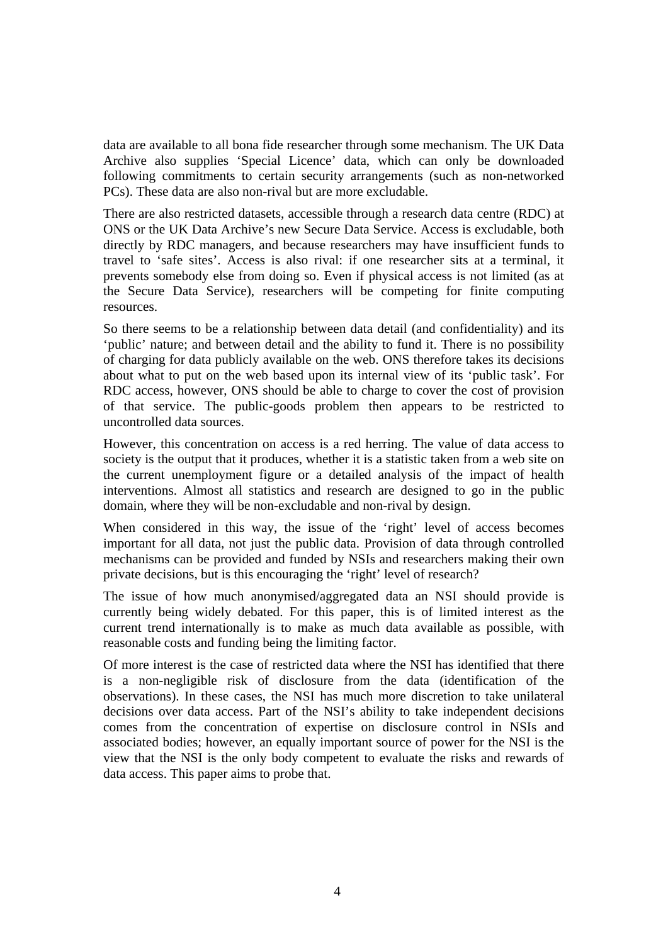data are available to all bona fide researcher through some mechanism. The UK Data Archive also supplies 'Special Licence' data, which can only be downloaded following commitments to certain security arrangements (such as non-networked PCs). These data are also non-rival but are more excludable.

There are also restricted datasets, accessible through a research data centre (RDC) at ONS or the UK Data Archive's new Secure Data Service. Access is excludable, both directly by RDC managers, and because researchers may have insufficient funds to travel to 'safe sites'. Access is also rival: if one researcher sits at a terminal, it prevents somebody else from doing so. Even if physical access is not limited (as at the Secure Data Service), researchers will be competing for finite computing resources.

So there seems to be a relationship between data detail (and confidentiality) and its 'public' nature; and between detail and the ability to fund it. There is no possibility of charging for data publicly available on the web. ONS therefore takes its decisions about what to put on the web based upon its internal view of its 'public task'. For RDC access, however, ONS should be able to charge to cover the cost of provision of that service. The public-goods problem then appears to be restricted to uncontrolled data sources.

However, this concentration on access is a red herring. The value of data access to society is the output that it produces, whether it is a statistic taken from a web site on the current unemployment figure or a detailed analysis of the impact of health interventions. Almost all statistics and research are designed to go in the public domain, where they will be non-excludable and non-rival by design.

When considered in this way, the issue of the 'right' level of access becomes important for all data, not just the public data. Provision of data through controlled mechanisms can be provided and funded by NSIs and researchers making their own private decisions, but is this encouraging the 'right' level of research?

The issue of how much anonymised/aggregated data an NSI should provide is currently being widely debated. For this paper, this is of limited interest as the current trend internationally is to make as much data available as possible, with reasonable costs and funding being the limiting factor.

Of more interest is the case of restricted data where the NSI has identified that there is a non-negligible risk of disclosure from the data (identification of the observations). In these cases, the NSI has much more discretion to take unilateral decisions over data access. Part of the NSI's ability to take independent decisions comes from the concentration of expertise on disclosure control in NSIs and associated bodies; however, an equally important source of power for the NSI is the view that the NSI is the only body competent to evaluate the risks and rewards of data access. This paper aims to probe that.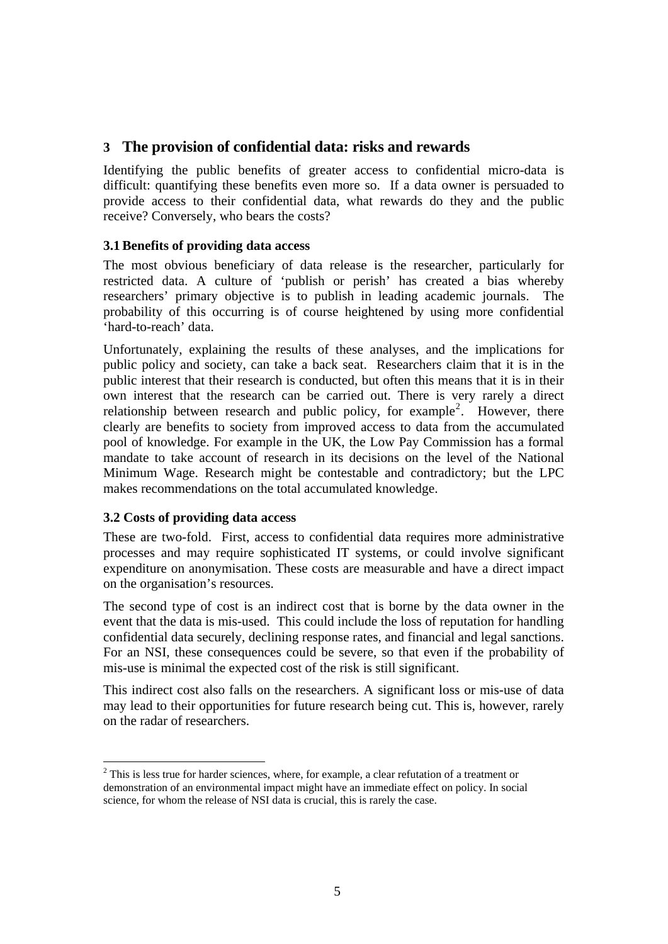# **3 The provision of confidential data: risks and rewards**

Identifying the public benefits of greater access to confidential micro-data is difficult: quantifying these benefits even more so. If a data owner is persuaded to provide access to their confidential data, what rewards do they and the public receive? Conversely, who bears the costs?

## **3.1Benefits of providing data access**

The most obvious beneficiary of data release is the researcher, particularly for restricted data. A culture of 'publish or perish' has created a bias whereby researchers' primary objective is to publish in leading academic journals. The probability of this occurring is of course heightened by using more confidential 'hard-to-reach' data.

Unfortunately, explaining the results of these analyses, and the implications for public policy and society, can take a back seat. Researchers claim that it is in the public interest that their research is conducted, but often this means that it is in their own interest that the research can be carried out. There is very rarely a direct relationship between research and public policy, for example<sup>[2](#page-5-0)</sup>. However, there clearly are benefits to society from improved access to data from the accumulated pool of knowledge. For example in the UK, the Low Pay Commission has a formal mandate to take account of research in its decisions on the level of the National Minimum Wage. Research might be contestable and contradictory; but the LPC makes recommendations on the total accumulated knowledge.

# **3.2 Costs of providing data access**

 $\overline{a}$ 

These are two-fold. First, access to confidential data requires more administrative processes and may require sophisticated IT systems, or could involve significant expenditure on anonymisation. These costs are measurable and have a direct impact on the organisation's resources.

The second type of cost is an indirect cost that is borne by the data owner in the event that the data is mis-used. This could include the loss of reputation for handling confidential data securely, declining response rates, and financial and legal sanctions. For an NSI, these consequences could be severe, so that even if the probability of mis-use is minimal the expected cost of the risk is still significant.

This indirect cost also falls on the researchers. A significant loss or mis-use of data may lead to their opportunities for future research being cut. This is, however, rarely on the radar of researchers.

<span id="page-5-0"></span> $2$  This is less true for harder sciences, where, for example, a clear refutation of a treatment or demonstration of an environmental impact might have an immediate effect on policy. In social science, for whom the release of NSI data is crucial, this is rarely the case.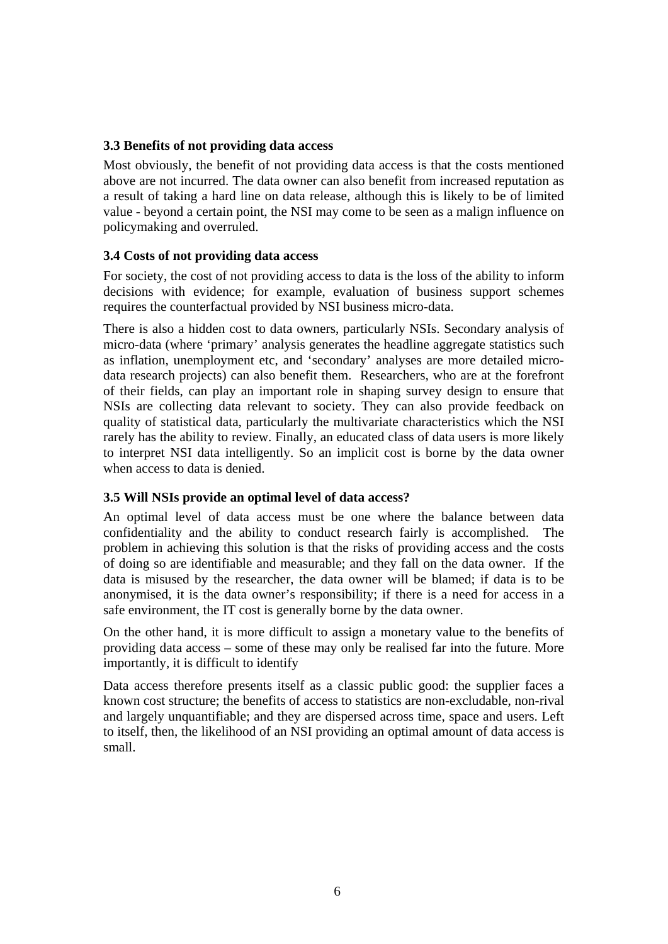# **3.3 Benefits of not providing data access**

Most obviously, the benefit of not providing data access is that the costs mentioned above are not incurred. The data owner can also benefit from increased reputation as a result of taking a hard line on data release, although this is likely to be of limited value - beyond a certain point, the NSI may come to be seen as a malign influence on policymaking and overruled.

## **3.4 Costs of not providing data access**

For society, the cost of not providing access to data is the loss of the ability to inform decisions with evidence; for example, evaluation of business support schemes requires the counterfactual provided by NSI business micro-data.

There is also a hidden cost to data owners, particularly NSIs. Secondary analysis of micro-data (where 'primary' analysis generates the headline aggregate statistics such as inflation, unemployment etc, and 'secondary' analyses are more detailed microdata research projects) can also benefit them. Researchers, who are at the forefront of their fields, can play an important role in shaping survey design to ensure that NSIs are collecting data relevant to society. They can also provide feedback on quality of statistical data, particularly the multivariate characteristics which the NSI rarely has the ability to review. Finally, an educated class of data users is more likely to interpret NSI data intelligently. So an implicit cost is borne by the data owner when access to data is denied.

# **3.5 Will NSIs provide an optimal level of data access?**

An optimal level of data access must be one where the balance between data confidentiality and the ability to conduct research fairly is accomplished. The problem in achieving this solution is that the risks of providing access and the costs of doing so are identifiable and measurable; and they fall on the data owner. If the data is misused by the researcher, the data owner will be blamed; if data is to be anonymised, it is the data owner's responsibility; if there is a need for access in a safe environment, the IT cost is generally borne by the data owner.

On the other hand, it is more difficult to assign a monetary value to the benefits of providing data access – some of these may only be realised far into the future. More importantly, it is difficult to identify

Data access therefore presents itself as a classic public good: the supplier faces a known cost structure; the benefits of access to statistics are non-excludable, non-rival and largely unquantifiable; and they are dispersed across time, space and users. Left to itself, then, the likelihood of an NSI providing an optimal amount of data access is small.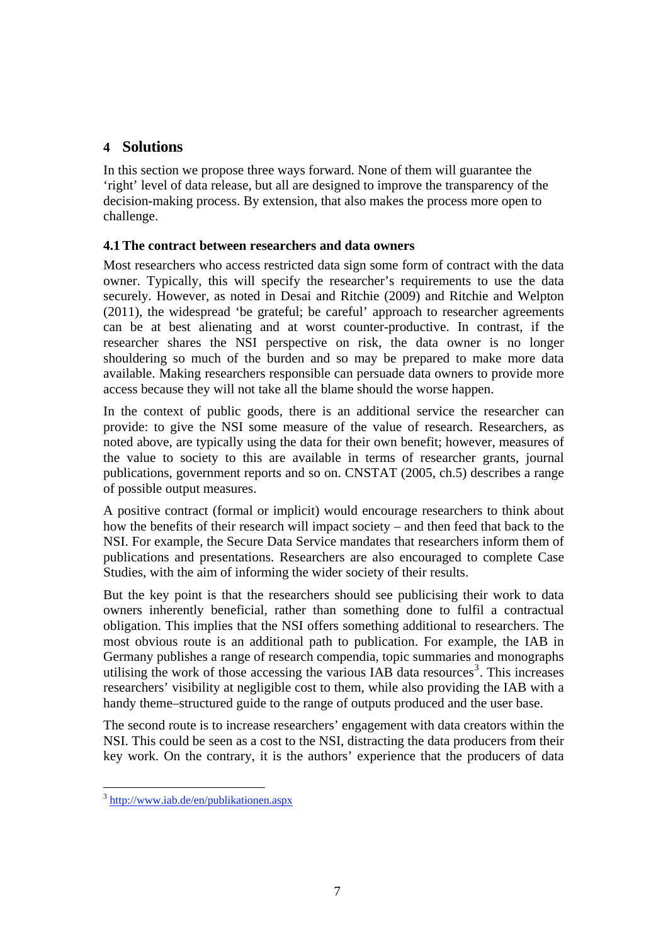# **4 Solutions**

In this section we propose three ways forward. None of them will guarantee the 'right' level of data release, but all are designed to improve the transparency of the decision-making process. By extension, that also makes the process more open to challenge.

# **4.1The contract between researchers and data owners**

Most researchers who access restricted data sign some form of contract with the data owner. Typically, this will specify the researcher's requirements to use the data securely. However, as noted in Desai and Ritchie (2009) and Ritchie and Welpton (2011), the widespread 'be grateful; be careful' approach to researcher agreements can be at best alienating and at worst counter-productive. In contrast, if the researcher shares the NSI perspective on risk, the data owner is no longer shouldering so much of the burden and so may be prepared to make more data available. Making researchers responsible can persuade data owners to provide more access because they will not take all the blame should the worse happen.

In the context of public goods, there is an additional service the researcher can provide: to give the NSI some measure of the value of research. Researchers, as noted above, are typically using the data for their own benefit; however, measures of the value to society to this are available in terms of researcher grants, journal publications, government reports and so on. CNSTAT (2005, ch.5) describes a range of possible output measures.

A positive contract (formal or implicit) would encourage researchers to think about how the benefits of their research will impact society – and then feed that back to the NSI. For example, the Secure Data Service mandates that researchers inform them of publications and presentations. Researchers are also encouraged to complete Case Studies, with the aim of informing the wider society of their results.

But the key point is that the researchers should see publicising their work to data owners inherently beneficial, rather than something done to fulfil a contractual obligation. This implies that the NSI offers something additional to researchers. The most obvious route is an additional path to publication. For example, the IAB in Germany publishes a range of research compendia, topic summaries and monographs utilising the work of those accessing the various  $IAB$  data resources<sup>[3](#page-7-0)</sup>. This increases researchers' visibility at negligible cost to them, while also providing the IAB with a handy theme–structured guide to the range of outputs produced and the user base.

The second route is to increase researchers' engagement with data creators within the NSI. This could be seen as a cost to the NSI, distracting the data producers from their key work. On the contrary, it is the authors' experience that the producers of data

 $\overline{a}$ 

<span id="page-7-0"></span><sup>3</sup> <http://www.iab.de/en/publikationen.aspx>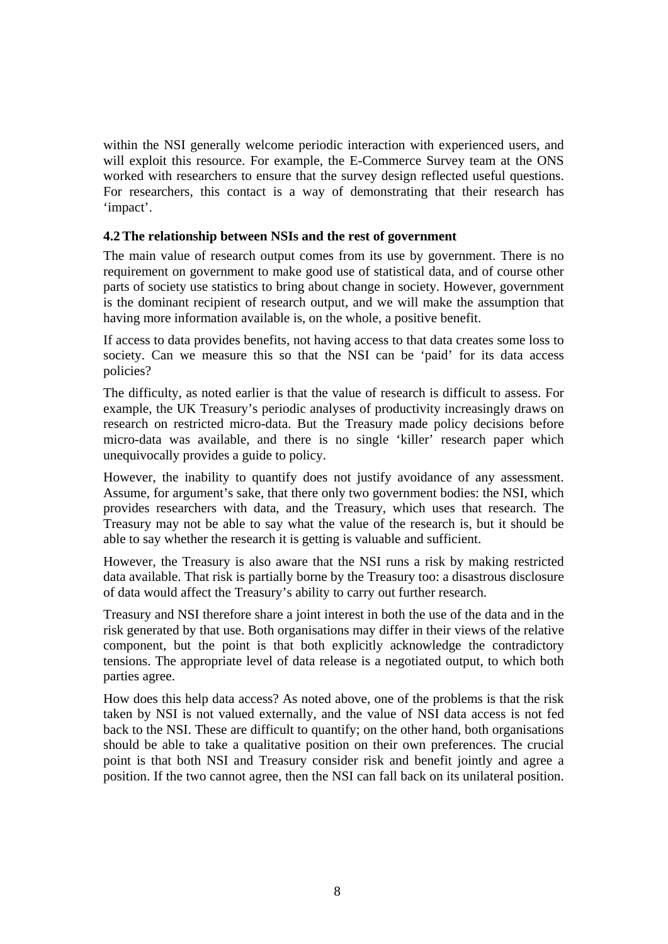within the NSI generally welcome periodic interaction with experienced users, and will exploit this resource. For example, the E-Commerce Survey team at the ONS worked with researchers to ensure that the survey design reflected useful questions. For researchers, this contact is a way of demonstrating that their research has 'impact'.

## **4.2The relationship between NSIs and the rest of government**

The main value of research output comes from its use by government. There is no requirement on government to make good use of statistical data, and of course other parts of society use statistics to bring about change in society. However, government is the dominant recipient of research output, and we will make the assumption that having more information available is, on the whole, a positive benefit.

If access to data provides benefits, not having access to that data creates some loss to society. Can we measure this so that the NSI can be 'paid' for its data access policies?

The difficulty, as noted earlier is that the value of research is difficult to assess. For example, the UK Treasury's periodic analyses of productivity increasingly draws on research on restricted micro-data. But the Treasury made policy decisions before micro-data was available, and there is no single 'killer' research paper which unequivocally provides a guide to policy.

However, the inability to quantify does not justify avoidance of any assessment. Assume, for argument's sake, that there only two government bodies: the NSI, which provides researchers with data, and the Treasury, which uses that research. The Treasury may not be able to say what the value of the research is, but it should be able to say whether the research it is getting is valuable and sufficient.

However, the Treasury is also aware that the NSI runs a risk by making restricted data available. That risk is partially borne by the Treasury too: a disastrous disclosure of data would affect the Treasury's ability to carry out further research.

Treasury and NSI therefore share a joint interest in both the use of the data and in the risk generated by that use. Both organisations may differ in their views of the relative component, but the point is that both explicitly acknowledge the contradictory tensions. The appropriate level of data release is a negotiated output, to which both parties agree.

How does this help data access? As noted above, one of the problems is that the risk taken by NSI is not valued externally, and the value of NSI data access is not fed back to the NSI. These are difficult to quantify; on the other hand, both organisations should be able to take a qualitative position on their own preferences. The crucial point is that both NSI and Treasury consider risk and benefit jointly and agree a position. If the two cannot agree, then the NSI can fall back on its unilateral position.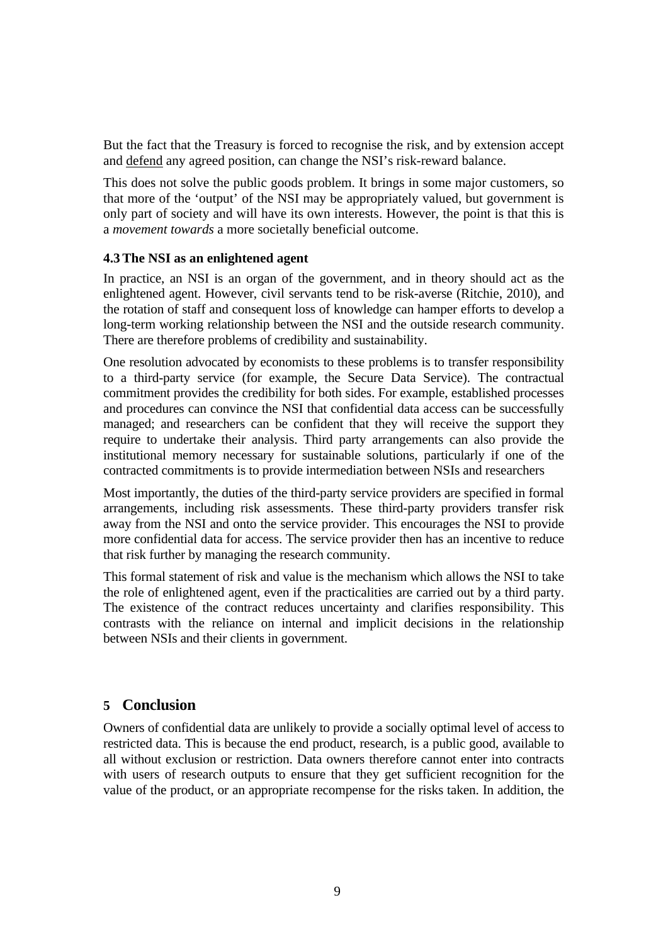But the fact that the Treasury is forced to recognise the risk, and by extension accept and defend any agreed position, can change the NSI's risk-reward balance.

This does not solve the public goods problem. It brings in some major customers, so that more of the 'output' of the NSI may be appropriately valued, but government is only part of society and will have its own interests. However, the point is that this is a *movement towards* a more societally beneficial outcome.

### **4.3The NSI as an enlightened agent**

In practice, an NSI is an organ of the government, and in theory should act as the enlightened agent. However, civil servants tend to be risk-averse (Ritchie, 2010), and the rotation of staff and consequent loss of knowledge can hamper efforts to develop a long-term working relationship between the NSI and the outside research community. There are therefore problems of credibility and sustainability.

One resolution advocated by economists to these problems is to transfer responsibility to a third-party service (for example, the Secure Data Service). The contractual commitment provides the credibility for both sides. For example, established processes and procedures can convince the NSI that confidential data access can be successfully managed; and researchers can be confident that they will receive the support they require to undertake their analysis. Third party arrangements can also provide the institutional memory necessary for sustainable solutions, particularly if one of the contracted commitments is to provide intermediation between NSIs and researchers

Most importantly, the duties of the third-party service providers are specified in formal arrangements, including risk assessments. These third-party providers transfer risk away from the NSI and onto the service provider. This encourages the NSI to provide more confidential data for access. The service provider then has an incentive to reduce that risk further by managing the research community.

This formal statement of risk and value is the mechanism which allows the NSI to take the role of enlightened agent, even if the practicalities are carried out by a third party. The existence of the contract reduces uncertainty and clarifies responsibility. This contrasts with the reliance on internal and implicit decisions in the relationship between NSIs and their clients in government.

# **5 Conclusion**

Owners of confidential data are unlikely to provide a socially optimal level of access to restricted data. This is because the end product, research, is a public good, available to all without exclusion or restriction. Data owners therefore cannot enter into contracts with users of research outputs to ensure that they get sufficient recognition for the value of the product, or an appropriate recompense for the risks taken. In addition, the